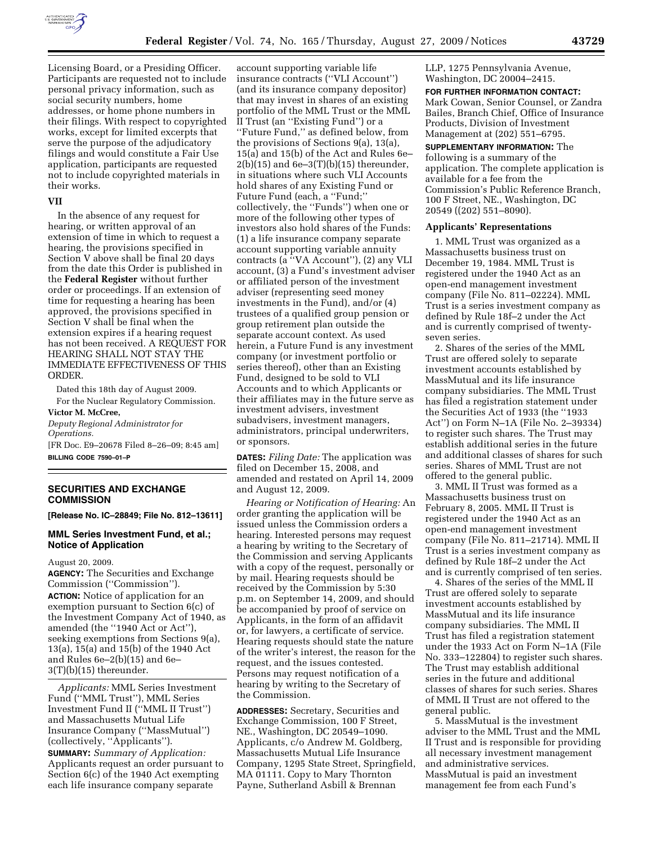

Licensing Board, or a Presiding Officer. Participants are requested not to include personal privacy information, such as social security numbers, home addresses, or home phone numbers in their filings. With respect to copyrighted works, except for limited excerpts that serve the purpose of the adjudicatory filings and would constitute a Fair Use application, participants are requested not to include copyrighted materials in their works.

#### **VII**

In the absence of any request for hearing, or written approval of an extension of time in which to request a hearing, the provisions specified in Section V above shall be final 20 days from the date this Order is published in the **Federal Register** without further order or proceedings. If an extension of time for requesting a hearing has been approved, the provisions specified in Section V shall be final when the extension expires if a hearing request has not been received. A REQUEST FOR HEARING SHALL NOT STAY THE IMMEDIATE EFFECTIVENESS OF THIS ORDER.

Dated this 18th day of August 2009.

For the Nuclear Regulatory Commission. **Victor M. McCree,** 

*Deputy Regional Administrator for Operations.*  [FR Doc. E9–20678 Filed 8–26–09; 8:45 am] **BILLING CODE 7590–01–P** 

# **SECURITIES AND EXCHANGE COMMISSION**

**[Release No. IC–28849; File No. 812–13611]** 

### **MML Series Investment Fund, et al.; Notice of Application**

August 20, 2009.

**AGENCY:** The Securities and Exchange Commission (''Commission''). **ACTION:** Notice of application for an exemption pursuant to Section 6(c) of the Investment Company Act of 1940, as amended (the ''1940 Act or Act''), seeking exemptions from Sections 9(a), 13(a), 15(a) and 15(b) of the 1940 Act and Rules 6e–2(b)(15) and 6e– 3(T)(b)(15) thereunder.

*Applicants:* MML Series Investment Fund (''MML Trust''), MML Series Investment Fund II (''MML II Trust'') and Massachusetts Mutual Life Insurance Company (''MassMutual'') (collectively, ''Applicants''). **SUMMARY:** *Summary of Application:*  Applicants request an order pursuant to Section 6(c) of the 1940 Act exempting each life insurance company separate

account supporting variable life insurance contracts (''VLI Account'') (and its insurance company depositor) that may invest in shares of an existing portfolio of the MML Trust or the MML II Trust (an ''Existing Fund'') or a ''Future Fund,'' as defined below, from the provisions of Sections 9(a), 13(a), 15(a) and 15(b) of the Act and Rules 6e–  $2(b)(15)$  and  $6e-3(T)(b)(15)$  thereunder, in situations where such VLI Accounts hold shares of any Existing Fund or Future Fund (each, a ''Fund;'' collectively, the ''Funds'') when one or more of the following other types of investors also hold shares of the Funds: (1) a life insurance company separate account supporting variable annuity contracts (a ''VA Account''), (2) any VLI account, (3) a Fund's investment adviser or affiliated person of the investment adviser (representing seed money investments in the Fund), and/or (4) trustees of a qualified group pension or group retirement plan outside the separate account context. As used herein, a Future Fund is any investment company (or investment portfolio or series thereof), other than an Existing Fund, designed to be sold to VLI Accounts and to which Applicants or their affiliates may in the future serve as investment advisers, investment subadvisers, investment managers, administrators, principal underwriters, or sponsors.

**DATES:** *Filing Date:* The application was filed on December 15, 2008, and amended and restated on April 14, 2009 and August 12, 2009.

*Hearing or Notification of Hearing:* An order granting the application will be issued unless the Commission orders a hearing. Interested persons may request a hearing by writing to the Secretary of the Commission and serving Applicants with a copy of the request, personally or by mail. Hearing requests should be received by the Commission by 5:30 p.m. on September 14, 2009, and should be accompanied by proof of service on Applicants, in the form of an affidavit or, for lawyers, a certificate of service. Hearing requests should state the nature of the writer's interest, the reason for the request, and the issues contested. Persons may request notification of a hearing by writing to the Secretary of the Commission.

**ADDRESSES:** Secretary, Securities and Exchange Commission, 100 F Street, NE., Washington, DC 20549–1090. Applicants, c/o Andrew M. Goldberg, Massachusetts Mutual Life Insurance Company, 1295 State Street, Springfield, MA 01111. Copy to Mary Thornton Payne, Sutherland Asbill & Brennan

LLP, 1275 Pennsylvania Avenue, Washington, DC 20004–2415.

**FOR FURTHER INFORMATION CONTACT:**  Mark Cowan, Senior Counsel, or Zandra Bailes, Branch Chief, Office of Insurance Products, Division of Investment Management at (202) 551–6795.

**SUPPLEMENTARY INFORMATION:** The following is a summary of the application. The complete application is available for a fee from the Commission's Public Reference Branch, 100 F Street, NE., Washington, DC 20549 ((202) 551–8090).

### **Applicants' Representations**

1. MML Trust was organized as a Massachusetts business trust on December 19, 1984. MML Trust is registered under the 1940 Act as an open-end management investment company (File No. 811–02224). MML Trust is a series investment company as defined by Rule 18f–2 under the Act and is currently comprised of twentyseven series.

2. Shares of the series of the MML Trust are offered solely to separate investment accounts established by MassMutual and its life insurance company subsidiaries. The MML Trust has filed a registration statement under the Securities Act of 1933 (the ''1933 Act'') on Form N–1A (File No. 2–39334) to register such shares. The Trust may establish additional series in the future and additional classes of shares for such series. Shares of MML Trust are not offered to the general public.

3. MML II Trust was formed as a Massachusetts business trust on February 8, 2005. MML II Trust is registered under the 1940 Act as an open-end management investment company (File No. 811–21714). MML II Trust is a series investment company as defined by Rule 18f–2 under the Act and is currently comprised of ten series.

4. Shares of the series of the MML II Trust are offered solely to separate investment accounts established by MassMutual and its life insurance company subsidiaries. The MML II Trust has filed a registration statement under the 1933 Act on Form N–1A (File No. 333–122804) to register such shares. The Trust may establish additional series in the future and additional classes of shares for such series. Shares of MML II Trust are not offered to the general public.

5. MassMutual is the investment adviser to the MML Trust and the MML II Trust and is responsible for providing all necessary investment management and administrative services. MassMutual is paid an investment management fee from each Fund's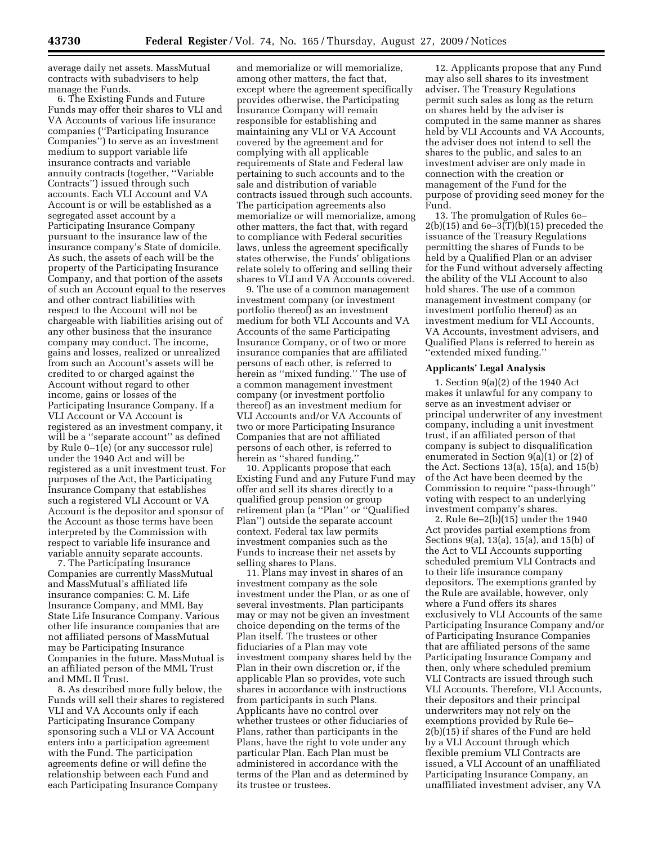average daily net assets. MassMutual contracts with subadvisers to help manage the Funds.

6. The Existing Funds and Future Funds may offer their shares to VLI and VA Accounts of various life insurance companies (''Participating Insurance Companies'') to serve as an investment medium to support variable life insurance contracts and variable annuity contracts (together, ''Variable Contracts'') issued through such accounts. Each VLI Account and VA Account is or will be established as a segregated asset account by a Participating Insurance Company pursuant to the insurance law of the insurance company's State of domicile. As such, the assets of each will be the property of the Participating Insurance Company, and that portion of the assets of such an Account equal to the reserves and other contract liabilities with respect to the Account will not be chargeable with liabilities arising out of any other business that the insurance company may conduct. The income, gains and losses, realized or unrealized from such an Account's assets will be credited to or charged against the Account without regard to other income, gains or losses of the Participating Insurance Company. If a VLI Account or VA Account is registered as an investment company, it will be a ''separate account'' as defined by Rule 0–1(e) (or any successor rule) under the 1940 Act and will be registered as a unit investment trust. For purposes of the Act, the Participating Insurance Company that establishes such a registered VLI Account or VA Account is the depositor and sponsor of the Account as those terms have been interpreted by the Commission with respect to variable life insurance and variable annuity separate accounts.

7. The Participating Insurance Companies are currently MassMutual and MassMutual's affiliated life insurance companies: C. M. Life Insurance Company, and MML Bay State Life Insurance Company. Various other life insurance companies that are not affiliated persons of MassMutual may be Participating Insurance Companies in the future. MassMutual is an affiliated person of the MML Trust and MML II Trust.

8. As described more fully below, the Funds will sell their shares to registered VLI and VA Accounts only if each Participating Insurance Company sponsoring such a VLI or VA Account enters into a participation agreement with the Fund. The participation agreements define or will define the relationship between each Fund and each Participating Insurance Company

and memorialize or will memorialize, among other matters, the fact that, except where the agreement specifically provides otherwise, the Participating Insurance Company will remain responsible for establishing and maintaining any VLI or VA Account covered by the agreement and for complying with all applicable requirements of State and Federal law pertaining to such accounts and to the sale and distribution of variable contracts issued through such accounts. The participation agreements also memorialize or will memorialize, among other matters, the fact that, with regard to compliance with Federal securities laws, unless the agreement specifically states otherwise, the Funds' obligations relate solely to offering and selling their shares to VLI and VA Accounts covered.

9. The use of a common management investment company (or investment portfolio thereof) as an investment medium for both VLI Accounts and VA Accounts of the same Participating Insurance Company, or of two or more insurance companies that are affiliated persons of each other, is referred to herein as ''mixed funding.'' The use of a common management investment company (or investment portfolio thereof) as an investment medium for VLI Accounts and/or VA Accounts of two or more Participating Insurance Companies that are not affiliated persons of each other, is referred to herein as ''shared funding.''

10. Applicants propose that each Existing Fund and any Future Fund may offer and sell its shares directly to a qualified group pension or group retirement plan (a ''Plan'' or ''Qualified Plan'') outside the separate account context. Federal tax law permits investment companies such as the Funds to increase their net assets by selling shares to Plans.

11. Plans may invest in shares of an investment company as the sole investment under the Plan, or as one of several investments. Plan participants may or may not be given an investment choice depending on the terms of the Plan itself. The trustees or other fiduciaries of a Plan may vote investment company shares held by the Plan in their own discretion or, if the applicable Plan so provides, vote such shares in accordance with instructions from participants in such Plans. Applicants have no control over whether trustees or other fiduciaries of Plans, rather than participants in the Plans, have the right to vote under any particular Plan. Each Plan must be administered in accordance with the terms of the Plan and as determined by its trustee or trustees.

12. Applicants propose that any Fund may also sell shares to its investment adviser. The Treasury Regulations permit such sales as long as the return on shares held by the adviser is computed in the same manner as shares held by VLI Accounts and VA Accounts, the adviser does not intend to sell the shares to the public, and sales to an investment adviser are only made in connection with the creation or management of the Fund for the purpose of providing seed money for the Fund.

13. The promulgation of Rules 6e–  $2(b)(15)$  and  $6e-3(T)(b)(15)$  preceded the issuance of the Treasury Regulations permitting the shares of Funds to be held by a Qualified Plan or an adviser for the Fund without adversely affecting the ability of the VLI Account to also hold shares. The use of a common management investment company (or investment portfolio thereof) as an investment medium for VLI Accounts, VA Accounts, investment advisers, and Qualified Plans is referred to herein as ''extended mixed funding.''

# **Applicants' Legal Analysis**

1. Section 9(a)(2) of the 1940 Act makes it unlawful for any company to serve as an investment adviser or principal underwriter of any investment company, including a unit investment trust, if an affiliated person of that company is subject to disqualification enumerated in Section 9(a)(1) or (2) of the Act. Sections 13(a), 15(a), and 15(b) of the Act have been deemed by the Commission to require ''pass-through'' voting with respect to an underlying investment company's shares.

2. Rule 6e–2(b)(15) under the 1940 Act provides partial exemptions from Sections 9(a), 13(a), 15(a), and 15(b) of the Act to VLI Accounts supporting scheduled premium VLI Contracts and to their life insurance company depositors. The exemptions granted by the Rule are available, however, only where a Fund offers its shares exclusively to VLI Accounts of the same Participating Insurance Company and/or of Participating Insurance Companies that are affiliated persons of the same Participating Insurance Company and then, only where scheduled premium VLI Contracts are issued through such VLI Accounts. Therefore, VLI Accounts, their depositors and their principal underwriters may not rely on the exemptions provided by Rule 6e– 2(b)(15) if shares of the Fund are held by a VLI Account through which flexible premium VLI Contracts are issued, a VLI Account of an unaffiliated Participating Insurance Company, an unaffiliated investment adviser, any VA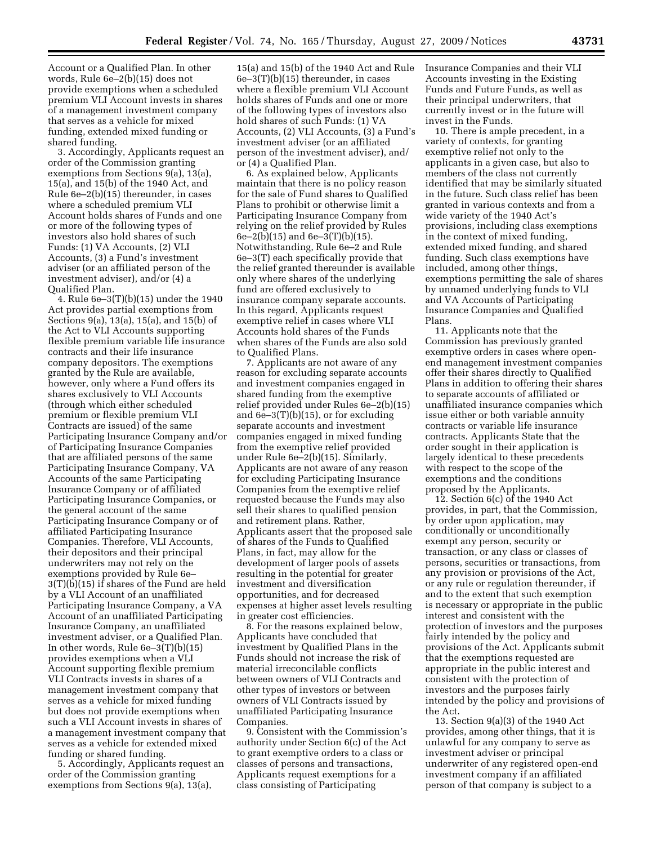Account or a Qualified Plan. In other words, Rule 6e–2(b)(15) does not provide exemptions when a scheduled premium VLI Account invests in shares of a management investment company that serves as a vehicle for mixed funding, extended mixed funding or shared funding.

3. Accordingly, Applicants request an order of the Commission granting exemptions from Sections 9(a), 13(a), 15(a), and 15(b) of the 1940 Act, and Rule 6e–2(b)(15) thereunder, in cases where a scheduled premium VLI Account holds shares of Funds and one or more of the following types of investors also hold shares of such Funds: (1) VA Accounts, (2) VLI Accounts, (3) a Fund's investment adviser (or an affiliated person of the investment adviser), and/or (4) a Qualified Plan.

4. Rule 6e–3(T)(b)(15) under the 1940 Act provides partial exemptions from Sections 9(a), 13(a), 15(a), and 15(b) of the Act to VLI Accounts supporting flexible premium variable life insurance contracts and their life insurance company depositors. The exemptions granted by the Rule are available, however, only where a Fund offers its shares exclusively to VLI Accounts (through which either scheduled premium or flexible premium VLI Contracts are issued) of the same Participating Insurance Company and/or of Participating Insurance Companies that are affiliated persons of the same Participating Insurance Company, VA Accounts of the same Participating Insurance Company or of affiliated Participating Insurance Companies, or the general account of the same Participating Insurance Company or of affiliated Participating Insurance Companies. Therefore, VLI Accounts, their depositors and their principal underwriters may not rely on the exemptions provided by Rule 6e– 3(T)(b)(15) if shares of the Fund are held by a VLI Account of an unaffiliated Participating Insurance Company, a VA Account of an unaffiliated Participating Insurance Company, an unaffiliated investment adviser, or a Qualified Plan. In other words, Rule 6e–3(T)(b)(15) provides exemptions when a VLI Account supporting flexible premium VLI Contracts invests in shares of a management investment company that serves as a vehicle for mixed funding but does not provide exemptions when such a VLI Account invests in shares of a management investment company that serves as a vehicle for extended mixed funding or shared funding.

5. Accordingly, Applicants request an order of the Commission granting exemptions from Sections 9(a), 13(a),

15(a) and 15(b) of the 1940 Act and Rule 6e–3(T)(b)(15) thereunder, in cases where a flexible premium VLI Account holds shares of Funds and one or more of the following types of investors also hold shares of such Funds: (1) VA Accounts, (2) VLI Accounts, (3) a Fund's investment adviser (or an affiliated person of the investment adviser), and/ or (4) a Qualified Plan.

6. As explained below, Applicants maintain that there is no policy reason for the sale of Fund shares to Qualified Plans to prohibit or otherwise limit a Participating Insurance Company from relying on the relief provided by Rules 6e–2(b)(15) and 6e–3(T)(b)(15). Notwithstanding, Rule 6e–2 and Rule 6e–3(T) each specifically provide that the relief granted thereunder is available only where shares of the underlying fund are offered exclusively to insurance company separate accounts. In this regard, Applicants request exemptive relief in cases where VLI Accounts hold shares of the Funds when shares of the Funds are also sold to Qualified Plans.

7. Applicants are not aware of any reason for excluding separate accounts and investment companies engaged in shared funding from the exemptive relief provided under Rules 6e–2(b)(15) and  $6e-3(T)(b)(15)$ , or for excluding separate accounts and investment companies engaged in mixed funding from the exemptive relief provided under Rule 6e–2(b)(15). Similarly, Applicants are not aware of any reason for excluding Participating Insurance Companies from the exemptive relief requested because the Funds may also sell their shares to qualified pension and retirement plans. Rather, Applicants assert that the proposed sale of shares of the Funds to Qualified Plans, in fact, may allow for the development of larger pools of assets resulting in the potential for greater investment and diversification opportunities, and for decreased expenses at higher asset levels resulting in greater cost efficiencies.

8. For the reasons explained below, Applicants have concluded that investment by Qualified Plans in the Funds should not increase the risk of material irreconcilable conflicts between owners of VLI Contracts and other types of investors or between owners of VLI Contracts issued by unaffiliated Participating Insurance Companies.

9. Consistent with the Commission's authority under Section 6(c) of the Act to grant exemptive orders to a class or classes of persons and transactions, Applicants request exemptions for a class consisting of Participating

Insurance Companies and their VLI Accounts investing in the Existing Funds and Future Funds, as well as their principal underwriters, that currently invest or in the future will invest in the Funds.

10. There is ample precedent, in a variety of contexts, for granting exemptive relief not only to the applicants in a given case, but also to members of the class not currently identified that may be similarly situated in the future. Such class relief has been granted in various contexts and from a wide variety of the 1940 Act's provisions, including class exemptions in the context of mixed funding, extended mixed funding, and shared funding. Such class exemptions have included, among other things, exemptions permitting the sale of shares by unnamed underlying funds to VLI and VA Accounts of Participating Insurance Companies and Qualified Plans.

11. Applicants note that the Commission has previously granted exemptive orders in cases where openend management investment companies offer their shares directly to Qualified Plans in addition to offering their shares to separate accounts of affiliated or unaffiliated insurance companies which issue either or both variable annuity contracts or variable life insurance contracts. Applicants State that the order sought in their application is largely identical to these precedents with respect to the scope of the exemptions and the conditions proposed by the Applicants.

12. Section 6(c) of the 1940 Act provides, in part, that the Commission, by order upon application, may conditionally or unconditionally exempt any person, security or transaction, or any class or classes of persons, securities or transactions, from any provision or provisions of the Act, or any rule or regulation thereunder, if and to the extent that such exemption is necessary or appropriate in the public interest and consistent with the protection of investors and the purposes fairly intended by the policy and provisions of the Act. Applicants submit that the exemptions requested are appropriate in the public interest and consistent with the protection of investors and the purposes fairly intended by the policy and provisions of the Act.

13. Section 9(a)(3) of the 1940 Act provides, among other things, that it is unlawful for any company to serve as investment adviser or principal underwriter of any registered open-end investment company if an affiliated person of that company is subject to a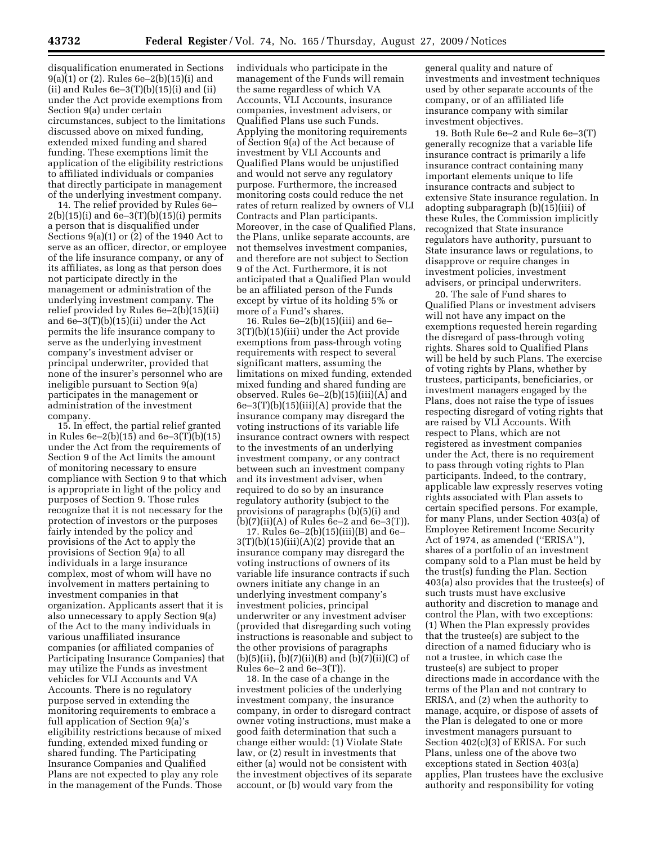disqualification enumerated in Sections 9(a)(1) or (2). Rules 6e–2(b)(15)(i) and (ii) and Rules  $6e-3(T)(b)(15)(i)$  and (ii) under the Act provide exemptions from Section 9(a) under certain circumstances, subject to the limitations discussed above on mixed funding, extended mixed funding and shared funding. These exemptions limit the application of the eligibility restrictions to affiliated individuals or companies that directly participate in management of the underlying investment company.

14. The relief provided by Rules 6e–  $2(b)(15)(i)$  and  $6e-3(T)(b)(15)(i)$  permits a person that is disqualified under Sections 9(a)(1) or (2) of the 1940 Act to serve as an officer, director, or employee of the life insurance company, or any of its affiliates, as long as that person does not participate directly in the management or administration of the underlying investment company. The relief provided by Rules 6e–2(b)(15)(ii) and 6e–3(T)(b)(15)(ii) under the Act permits the life insurance company to serve as the underlying investment company's investment adviser or principal underwriter, provided that none of the insurer's personnel who are ineligible pursuant to Section 9(a) participates in the management or administration of the investment company.

15. In effect, the partial relief granted in Rules 6e–2(b)(15) and 6e–3(T)(b)(15) under the Act from the requirements of Section 9 of the Act limits the amount of monitoring necessary to ensure compliance with Section 9 to that which is appropriate in light of the policy and purposes of Section 9. Those rules recognize that it is not necessary for the protection of investors or the purposes fairly intended by the policy and provisions of the Act to apply the provisions of Section 9(a) to all individuals in a large insurance complex, most of whom will have no involvement in matters pertaining to investment companies in that organization. Applicants assert that it is also unnecessary to apply Section 9(a) of the Act to the many individuals in various unaffiliated insurance companies (or affiliated companies of Participating Insurance Companies) that may utilize the Funds as investment vehicles for VLI Accounts and VA Accounts. There is no regulatory purpose served in extending the monitoring requirements to embrace a full application of Section 9(a)'s eligibility restrictions because of mixed funding, extended mixed funding or shared funding. The Participating Insurance Companies and Qualified Plans are not expected to play any role in the management of the Funds. Those

individuals who participate in the management of the Funds will remain the same regardless of which VA Accounts, VLI Accounts, insurance companies, investment advisers, or Qualified Plans use such Funds. Applying the monitoring requirements of Section 9(a) of the Act because of investment by VLI Accounts and Qualified Plans would be unjustified and would not serve any regulatory purpose. Furthermore, the increased monitoring costs could reduce the net rates of return realized by owners of VLI Contracts and Plan participants. Moreover, in the case of Qualified Plans, the Plans, unlike separate accounts, are not themselves investment companies, and therefore are not subject to Section 9 of the Act. Furthermore, it is not anticipated that a Qualified Plan would be an affiliated person of the Funds except by virtue of its holding 5% or more of a Fund's shares.

16. Rules 6e–2(b)(15)(iii) and 6e– 3(T)(b)(15)(iii) under the Act provide exemptions from pass-through voting requirements with respect to several significant matters, assuming the limitations on mixed funding, extended mixed funding and shared funding are observed. Rules 6e–2(b)(15)(iii)(A) and  $6e-3(T)(b)(15)(iii)(A)$  provide that the insurance company may disregard the voting instructions of its variable life insurance contract owners with respect to the investments of an underlying investment company, or any contract between such an investment company and its investment adviser, when required to do so by an insurance regulatory authority (subject to the provisions of paragraphs (b)(5)(i) and  $(b)(7)(ii)(A)$  of Rules  $6e-2$  and  $6e-3(T)$ ).

17. Rules 6e–2(b)(15)(iii)(B) and 6e–  $3(T)(b)(15)(iii)(A)(2)$  provide that an insurance company may disregard the voting instructions of owners of its variable life insurance contracts if such owners initiate any change in an underlying investment company's investment policies, principal underwriter or any investment adviser (provided that disregarding such voting instructions is reasonable and subject to the other provisions of paragraphs  $(b)(5)(ii)$ ,  $(b)(7)(ii)(B)$  and  $(b)(7)(ii)(C)$  of Rules 6e–2 and 6e–3(T)).

18. In the case of a change in the investment policies of the underlying investment company, the insurance company, in order to disregard contract owner voting instructions, must make a good faith determination that such a change either would: (1) Violate State law, or (2) result in investments that either (a) would not be consistent with the investment objectives of its separate account, or (b) would vary from the

general quality and nature of investments and investment techniques used by other separate accounts of the company, or of an affiliated life insurance company with similar investment objectives.

19. Both Rule 6e–2 and Rule 6e–3(T) generally recognize that a variable life insurance contract is primarily a life insurance contract containing many important elements unique to life insurance contracts and subject to extensive State insurance regulation. In adopting subparagraph (b)(15)(iii) of these Rules, the Commission implicitly recognized that State insurance regulators have authority, pursuant to State insurance laws or regulations, to disapprove or require changes in investment policies, investment advisers, or principal underwriters.

20. The sale of Fund shares to Qualified Plans or investment advisers will not have any impact on the exemptions requested herein regarding the disregard of pass-through voting rights. Shares sold to Qualified Plans will be held by such Plans. The exercise of voting rights by Plans, whether by trustees, participants, beneficiaries, or investment managers engaged by the Plans, does not raise the type of issues respecting disregard of voting rights that are raised by VLI Accounts. With respect to Plans, which are not registered as investment companies under the Act, there is no requirement to pass through voting rights to Plan participants. Indeed, to the contrary, applicable law expressly reserves voting rights associated with Plan assets to certain specified persons. For example, for many Plans, under Section 403(a) of Employee Retirement Income Security Act of 1974, as amended (''ERISA''), shares of a portfolio of an investment company sold to a Plan must be held by the trust(s) funding the Plan. Section 403(a) also provides that the trustee(s) of such trusts must have exclusive authority and discretion to manage and control the Plan, with two exceptions: (1) When the Plan expressly provides that the trustee(s) are subject to the direction of a named fiduciary who is not a trustee, in which case the trustee(s) are subject to proper directions made in accordance with the terms of the Plan and not contrary to ERISA, and (2) when the authority to manage, acquire, or dispose of assets of the Plan is delegated to one or more investment managers pursuant to Section 402(c)(3) of ERISA. For such Plans, unless one of the above two exceptions stated in Section 403(a) applies, Plan trustees have the exclusive authority and responsibility for voting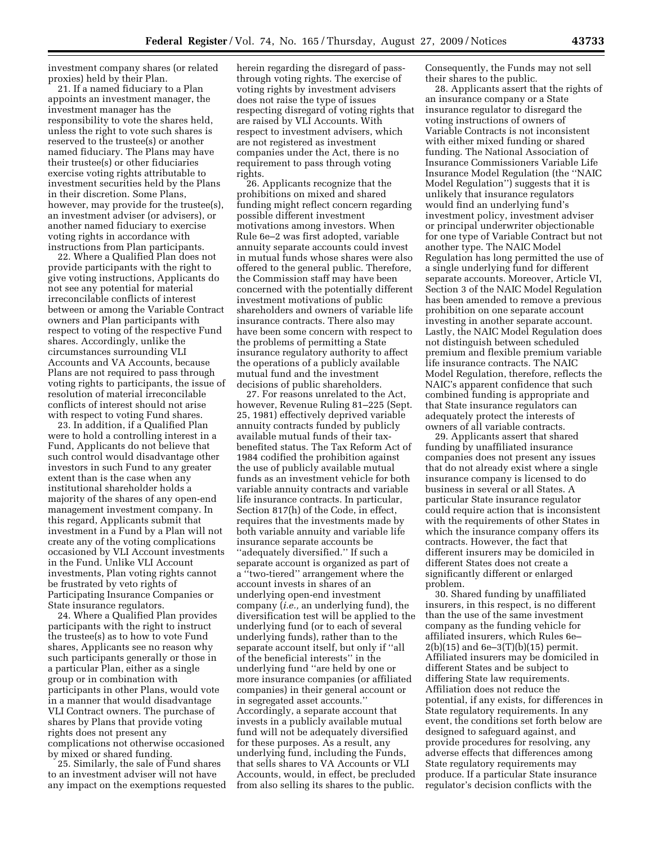investment company shares (or related proxies) held by their Plan.

21. If a named fiduciary to a Plan appoints an investment manager, the investment manager has the responsibility to vote the shares held, unless the right to vote such shares is reserved to the trustee(s) or another named fiduciary. The Plans may have their trustee(s) or other fiduciaries exercise voting rights attributable to investment securities held by the Plans in their discretion. Some Plans, however, may provide for the trustee(s), an investment adviser (or advisers), or another named fiduciary to exercise voting rights in accordance with instructions from Plan participants.

22. Where a Qualified Plan does not provide participants with the right to give voting instructions, Applicants do not see any potential for material irreconcilable conflicts of interest between or among the Variable Contract owners and Plan participants with respect to voting of the respective Fund shares. Accordingly, unlike the circumstances surrounding VLI Accounts and VA Accounts, because Plans are not required to pass through voting rights to participants, the issue of resolution of material irreconcilable conflicts of interest should not arise with respect to voting Fund shares.

23. In addition, if a Qualified Plan were to hold a controlling interest in a Fund, Applicants do not believe that such control would disadvantage other investors in such Fund to any greater extent than is the case when any institutional shareholder holds a majority of the shares of any open-end management investment company. In this regard, Applicants submit that investment in a Fund by a Plan will not create any of the voting complications occasioned by VLI Account investments in the Fund. Unlike VLI Account investments, Plan voting rights cannot be frustrated by veto rights of Participating Insurance Companies or State insurance regulators.

24. Where a Qualified Plan provides participants with the right to instruct the trustee(s) as to how to vote Fund shares, Applicants see no reason why such participants generally or those in a particular Plan, either as a single group or in combination with participants in other Plans, would vote in a manner that would disadvantage VLI Contract owners. The purchase of shares by Plans that provide voting rights does not present any complications not otherwise occasioned by mixed or shared funding.

25. Similarly, the sale of Fund shares to an investment adviser will not have any impact on the exemptions requested

herein regarding the disregard of passthrough voting rights. The exercise of voting rights by investment advisers does not raise the type of issues respecting disregard of voting rights that are raised by VLI Accounts. With respect to investment advisers, which are not registered as investment companies under the Act, there is no requirement to pass through voting rights.

26. Applicants recognize that the prohibitions on mixed and shared funding might reflect concern regarding possible different investment motivations among investors. When Rule 6e–2 was first adopted, variable annuity separate accounts could invest in mutual funds whose shares were also offered to the general public. Therefore, the Commission staff may have been concerned with the potentially different investment motivations of public shareholders and owners of variable life insurance contracts. There also may have been some concern with respect to the problems of permitting a State insurance regulatory authority to affect the operations of a publicly available mutual fund and the investment decisions of public shareholders.

27. For reasons unrelated to the Act, however, Revenue Ruling 81–225 (Sept. 25, 1981) effectively deprived variable annuity contracts funded by publicly available mutual funds of their taxbenefited status. The Tax Reform Act of 1984 codified the prohibition against the use of publicly available mutual funds as an investment vehicle for both variable annuity contracts and variable life insurance contracts. In particular, Section 817(h) of the Code, in effect, requires that the investments made by both variable annuity and variable life insurance separate accounts be ''adequately diversified.'' If such a separate account is organized as part of a ''two-tiered'' arrangement where the account invests in shares of an underlying open-end investment company (*i.e.,* an underlying fund), the diversification test will be applied to the underlying fund (or to each of several underlying funds), rather than to the separate account itself, but only if ''all of the beneficial interests'' in the underlying fund ''are held by one or more insurance companies (or affiliated companies) in their general account or in segregated asset accounts.'' Accordingly, a separate account that invests in a publicly available mutual fund will not be adequately diversified for these purposes. As a result, any underlying fund, including the Funds, that sells shares to VA Accounts or VLI Accounts, would, in effect, be precluded from also selling its shares to the public.

Consequently, the Funds may not sell their shares to the public.

28. Applicants assert that the rights of an insurance company or a State insurance regulator to disregard the voting instructions of owners of Variable Contracts is not inconsistent with either mixed funding or shared funding. The National Association of Insurance Commissioners Variable Life Insurance Model Regulation (the ''NAIC Model Regulation'') suggests that it is unlikely that insurance regulators would find an underlying fund's investment policy, investment adviser or principal underwriter objectionable for one type of Variable Contract but not another type. The NAIC Model Regulation has long permitted the use of a single underlying fund for different separate accounts. Moreover, Article VI, Section 3 of the NAIC Model Regulation has been amended to remove a previous prohibition on one separate account investing in another separate account. Lastly, the NAIC Model Regulation does not distinguish between scheduled premium and flexible premium variable life insurance contracts. The NAIC Model Regulation, therefore, reflects the NAIC's apparent confidence that such combined funding is appropriate and that State insurance regulators can adequately protect the interests of owners of all variable contracts.

29. Applicants assert that shared funding by unaffiliated insurance companies does not present any issues that do not already exist where a single insurance company is licensed to do business in several or all States. A particular State insurance regulator could require action that is inconsistent with the requirements of other States in which the insurance company offers its contracts. However, the fact that different insurers may be domiciled in different States does not create a significantly different or enlarged problem.

30. Shared funding by unaffiliated insurers, in this respect, is no different than the use of the same investment company as the funding vehicle for affiliated insurers, which Rules 6e–  $2(b)(15)$  and  $6e-3(T)(b)(15)$  permit. Affiliated insurers may be domiciled in different States and be subject to differing State law requirements. Affiliation does not reduce the potential, if any exists, for differences in State regulatory requirements. In any event, the conditions set forth below are designed to safeguard against, and provide procedures for resolving, any adverse effects that differences among State regulatory requirements may produce. If a particular State insurance regulator's decision conflicts with the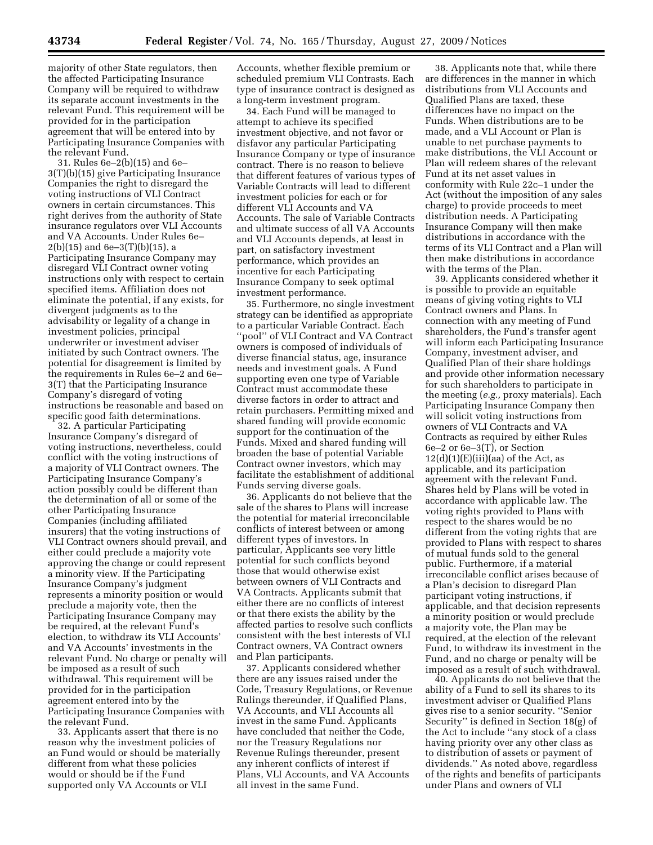majority of other State regulators, then the affected Participating Insurance Company will be required to withdraw its separate account investments in the relevant Fund. This requirement will be provided for in the participation agreement that will be entered into by Participating Insurance Companies with the relevant Fund.

31. Rules 6e–2(b)(15) and 6e– 3(T)(b)(15) give Participating Insurance Companies the right to disregard the voting instructions of VLI Contract owners in certain circumstances. This right derives from the authority of State insurance regulators over VLI Accounts and VA Accounts. Under Rules 6e–  $2(b)(15)$  and 6e-3(T)(b)(15), a Participating Insurance Company may disregard VLI Contract owner voting instructions only with respect to certain specified items. Affiliation does not eliminate the potential, if any exists, for divergent judgments as to the advisability or legality of a change in investment policies, principal underwriter or investment adviser initiated by such Contract owners. The potential for disagreement is limited by the requirements in Rules 6e–2 and 6e– 3(T) that the Participating Insurance Company's disregard of voting instructions be reasonable and based on specific good faith determinations.

32. A particular Participating Insurance Company's disregard of voting instructions, nevertheless, could conflict with the voting instructions of a majority of VLI Contract owners. The Participating Insurance Company's action possibly could be different than the determination of all or some of the other Participating Insurance Companies (including affiliated insurers) that the voting instructions of VLI Contract owners should prevail, and either could preclude a majority vote approving the change or could represent a minority view. If the Participating Insurance Company's judgment represents a minority position or would preclude a majority vote, then the Participating Insurance Company may be required, at the relevant Fund's election, to withdraw its VLI Accounts' and VA Accounts' investments in the relevant Fund. No charge or penalty will be imposed as a result of such withdrawal. This requirement will be provided for in the participation agreement entered into by the Participating Insurance Companies with the relevant Fund.

33. Applicants assert that there is no reason why the investment policies of an Fund would or should be materially different from what these policies would or should be if the Fund supported only VA Accounts or VLI

Accounts, whether flexible premium or scheduled premium VLI Contrasts. Each type of insurance contract is designed as a long-term investment program.

34. Each Fund will be managed to attempt to achieve its specified investment objective, and not favor or disfavor any particular Participating Insurance Company or type of insurance contract. There is no reason to believe that different features of various types of Variable Contracts will lead to different investment policies for each or for different VLI Accounts and VA Accounts. The sale of Variable Contracts and ultimate success of all VA Accounts and VLI Accounts depends, at least in part, on satisfactory investment performance, which provides an incentive for each Participating Insurance Company to seek optimal investment performance.

35. Furthermore, no single investment strategy can be identified as appropriate to a particular Variable Contract. Each ''pool'' of VLI Contract and VA Contract owners is composed of individuals of diverse financial status, age, insurance needs and investment goals. A Fund supporting even one type of Variable Contract must accommodate these diverse factors in order to attract and retain purchasers. Permitting mixed and shared funding will provide economic support for the continuation of the Funds. Mixed and shared funding will broaden the base of potential Variable Contract owner investors, which may facilitate the establishment of additional Funds serving diverse goals.

36. Applicants do not believe that the sale of the shares to Plans will increase the potential for material irreconcilable conflicts of interest between or among different types of investors. In particular, Applicants see very little potential for such conflicts beyond those that would otherwise exist between owners of VLI Contracts and VA Contracts. Applicants submit that either there are no conflicts of interest or that there exists the ability by the affected parties to resolve such conflicts consistent with the best interests of VLI Contract owners, VA Contract owners and Plan participants.

37. Applicants considered whether there are any issues raised under the Code, Treasury Regulations, or Revenue Rulings thereunder, if Qualified Plans, VA Accounts, and VLI Accounts all invest in the same Fund. Applicants have concluded that neither the Code, nor the Treasury Regulations nor Revenue Rulings thereunder, present any inherent conflicts of interest if Plans, VLI Accounts, and VA Accounts all invest in the same Fund.

38. Applicants note that, while there are differences in the manner in which distributions from VLI Accounts and Qualified Plans are taxed, these differences have no impact on the Funds. When distributions are to be made, and a VLI Account or Plan is unable to net purchase payments to make distributions, the VLI Account or Plan will redeem shares of the relevant Fund at its net asset values in conformity with Rule 22c–1 under the Act (without the imposition of any sales charge) to provide proceeds to meet distribution needs. A Participating Insurance Company will then make distributions in accordance with the terms of its VLI Contract and a Plan will then make distributions in accordance with the terms of the Plan.

39. Applicants considered whether it is possible to provide an equitable means of giving voting rights to VLI Contract owners and Plans. In connection with any meeting of Fund shareholders, the Fund's transfer agent will inform each Participating Insurance Company, investment adviser, and Qualified Plan of their share holdings and provide other information necessary for such shareholders to participate in the meeting (*e.g.,* proxy materials). Each Participating Insurance Company then will solicit voting instructions from owners of VLI Contracts and VA Contracts as required by either Rules 6e–2 or 6e–3(T), or Section  $12(d)(1)(E)(iii)(aa)$  of the Act, as applicable, and its participation agreement with the relevant Fund. Shares held by Plans will be voted in accordance with applicable law. The voting rights provided to Plans with respect to the shares would be no different from the voting rights that are provided to Plans with respect to shares of mutual funds sold to the general public. Furthermore, if a material irreconcilable conflict arises because of a Plan's decision to disregard Plan participant voting instructions, if applicable, and that decision represents a minority position or would preclude a majority vote, the Plan may be required, at the election of the relevant Fund, to withdraw its investment in the Fund, and no charge or penalty will be imposed as a result of such withdrawal.

40. Applicants do not believe that the ability of a Fund to sell its shares to its investment adviser or Qualified Plans gives rise to a senior security. ''Senior Security'' is defined in Section 18(g) of the Act to include ''any stock of a class having priority over any other class as to distribution of assets or payment of dividends.'' As noted above, regardless of the rights and benefits of participants under Plans and owners of VLI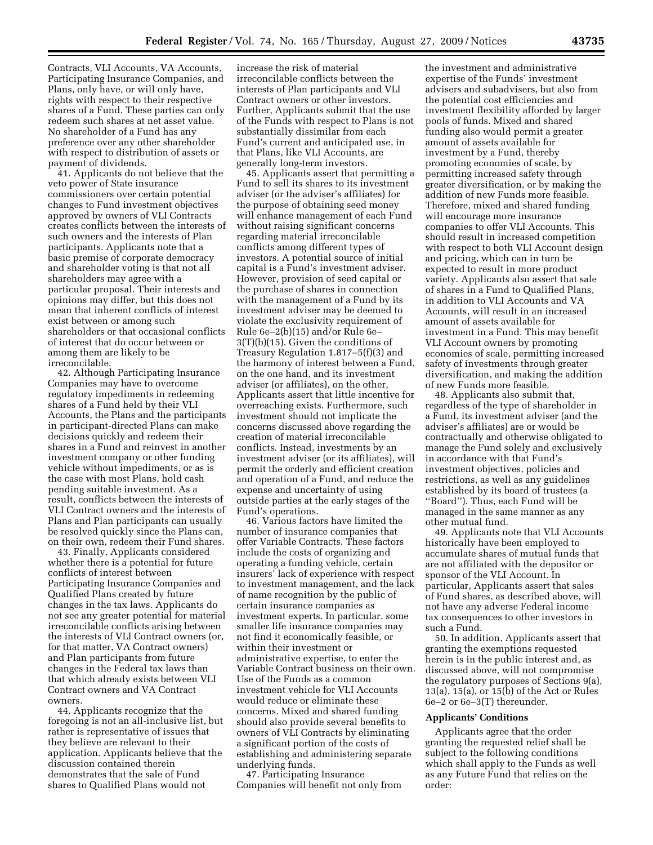Contracts, VLI Accounts, VA Accounts, Participating Insurance Companies, and Plans, only have, or will only have, rights with respect to their respective shares of a Fund. These parties can only redeem such shares at net asset value. No shareholder of a Fund has any preference over any other shareholder with respect to distribution of assets or payment of dividends.

41. Applicants do not believe that the veto power of State insurance commissioners over certain potential changes to Fund investment objectives approved by owners of VLI Contracts creates conflicts between the interests of such owners and the interests of Plan participants. Applicants note that a basic premise of corporate democracy and shareholder voting is that not all shareholders may agree with a particular proposal. Their interests and opinions may differ, but this does not mean that inherent conflicts of interest exist between or among such shareholders or that occasional conflicts of interest that do occur between or among them are likely to be irreconcilable.

42. Although Participating Insurance Companies may have to overcome regulatory impediments in redeeming shares of a Fund held by their VLI Accounts, the Plans and the participants in participant-directed Plans can make decisions quickly and redeem their shares in a Fund and reinvest in another investment company or other funding vehicle without impediments, or as is the case with most Plans, hold cash pending suitable investment. As a result, conflicts between the interests of VLI Contract owners and the interests of Plans and Plan participants can usually be resolved quickly since the Plans can, on their own, redeem their Fund shares.

43. Finally, Applicants considered whether there is a potential for future conflicts of interest between Participating Insurance Companies and Qualified Plans created by future changes in the tax laws. Applicants do not see any greater potential for material irreconcilable conflicts arising between the interests of VLI Contract owners (or, for that matter, VA Contract owners) and Plan participants from future changes in the Federal tax laws than that which already exists between VLI Contract owners and VA Contract owners.

44. Applicants recognize that the foregoing is not an all-inclusive list, but rather is representative of issues that they believe are relevant to their application. Applicants believe that the discussion contained therein demonstrates that the sale of Fund shares to Qualified Plans would not

increase the risk of material irreconcilable conflicts between the interests of Plan participants and VLI Contract owners or other investors. Further, Applicants submit that the use of the Funds with respect to Plans is not substantially dissimilar from each Fund's current and anticipated use, in that Plans, like VLI Accounts, are generally long-term investors.

45. Applicants assert that permitting a Fund to sell its shares to its investment adviser (or the adviser's affiliates) for the purpose of obtaining seed money will enhance management of each Fund without raising significant concerns regarding material irreconcilable conflicts among different types of investors. A potential source of initial capital is a Fund's investment adviser. However, provision of seed capital or the purchase of shares in connection with the management of a Fund by its investment adviser may be deemed to violate the exclusivity requirement of Rule 6e–2(b)(15) and/or Rule 6e– 3(T)(b)(15). Given the conditions of Treasury Regulation 1.817–5(f)(3) and the harmony of interest between a Fund, on the one hand, and its investment adviser (or affiliates), on the other, Applicants assert that little incentive for overreaching exists. Furthermore, such investment should not implicate the concerns discussed above regarding the creation of material irreconcilable conflicts. Instead, investments by an investment adviser (or its affiliates), will permit the orderly and efficient creation and operation of a Fund, and reduce the expense and uncertainty of using outside parties at the early stages of the Fund's operations.

46. Various factors have limited the number of insurance companies that offer Variable Contracts. These factors include the costs of organizing and operating a funding vehicle, certain insurers' lack of experience with respect to investment management, and the lack of name recognition by the public of certain insurance companies as investment experts. In particular, some smaller life insurance companies may not find it economically feasible, or within their investment or administrative expertise, to enter the Variable Contract business on their own. Use of the Funds as a common investment vehicle for VLI Accounts would reduce or eliminate these concerns. Mixed and shared funding should also provide several benefits to owners of VLI Contracts by eliminating a significant portion of the costs of establishing and administering separate underlying funds.

47. Participating Insurance Companies will benefit not only from

the investment and administrative expertise of the Funds' investment advisers and subadvisers, but also from the potential cost efficiencies and investment flexibility afforded by larger pools of funds. Mixed and shared funding also would permit a greater amount of assets available for investment by a Fund, thereby promoting economies of scale, by permitting increased safety through greater diversification, or by making the addition of new Funds more feasible. Therefore, mixed and shared funding will encourage more insurance companies to offer VLI Accounts. This should result in increased competition with respect to both VLI Account design and pricing, which can in turn be expected to result in more product variety. Applicants also assert that sale of shares in a Fund to Qualified Plans, in addition to VLI Accounts and VA Accounts, will result in an increased amount of assets available for investment in a Fund. This may benefit VLI Account owners by promoting economies of scale, permitting increased safety of investments through greater diversification, and making the addition of new Funds more feasible.

48. Applicants also submit that, regardless of the type of shareholder in a Fund, its investment adviser (and the adviser's affiliates) are or would be contractually and otherwise obligated to manage the Fund solely and exclusively in accordance with that Fund's investment objectives, policies and restrictions, as well as any guidelines established by its board of trustees (a ''Board''). Thus, each Fund will be managed in the same manner as any other mutual fund.

49. Applicants note that VLI Accounts historically have been employed to accumulate shares of mutual funds that are not affiliated with the depositor or sponsor of the VLI Account. In particular, Applicants assert that sales of Fund shares, as described above, will not have any adverse Federal income tax consequences to other investors in such a Fund.

50. In addition, Applicants assert that granting the exemptions requested herein is in the public interest and, as discussed above, will not compromise the regulatory purposes of Sections 9(a), 13(a), 15(a), or 15(b) of the Act or Rules 6e–2 or 6e–3(T) thereunder.

#### **Applicants' Conditions**

Applicants agree that the order granting the requested relief shall be subject to the following conditions which shall apply to the Funds as well as any Future Fund that relies on the order: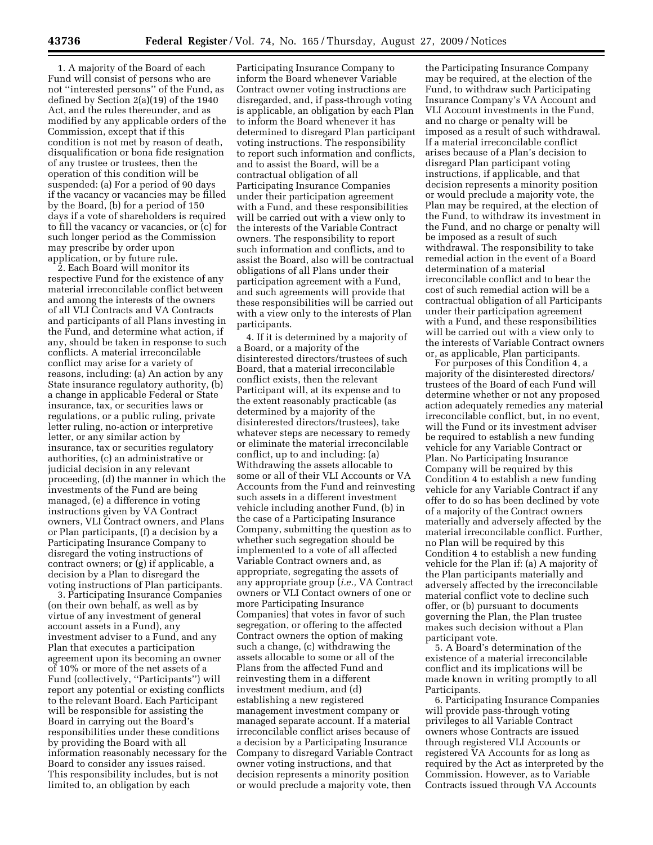1. A majority of the Board of each Fund will consist of persons who are not ''interested persons'' of the Fund, as defined by Section 2(a)(19) of the 1940 Act, and the rules thereunder, and as modified by any applicable orders of the Commission, except that if this condition is not met by reason of death, disqualification or bona fide resignation of any trustee or trustees, then the operation of this condition will be suspended: (a) For a period of 90 days if the vacancy or vacancies may be filled by the Board, (b) for a period of 150 days if a vote of shareholders is required to fill the vacancy or vacancies, or (c) for such longer period as the Commission may prescribe by order upon application, or by future rule.

2. Each Board will monitor its respective Fund for the existence of any material irreconcilable conflict between and among the interests of the owners of all VLI Contracts and VA Contracts and participants of all Plans investing in the Fund, and determine what action, if any, should be taken in response to such conflicts. A material irreconcilable conflict may arise for a variety of reasons, including: (a) An action by any State insurance regulatory authority, (b) a change in applicable Federal or State insurance, tax, or securities laws or regulations, or a public ruling, private letter ruling, no-action or interpretive letter, or any similar action by insurance, tax or securities regulatory authorities, (c) an administrative or judicial decision in any relevant proceeding, (d) the manner in which the investments of the Fund are being managed, (e) a difference in voting instructions given by VA Contract owners, VLI Contract owners, and Plans or Plan participants, (f) a decision by a Participating Insurance Company to disregard the voting instructions of contract owners; or (g) if applicable, a decision by a Plan to disregard the voting instructions of Plan participants.

3. Participating Insurance Companies (on their own behalf, as well as by virtue of any investment of general account assets in a Fund), any investment adviser to a Fund, and any Plan that executes a participation agreement upon its becoming an owner of 10% or more of the net assets of a Fund (collectively, ''Participants'') will report any potential or existing conflicts to the relevant Board. Each Participant will be responsible for assisting the Board in carrying out the Board's responsibilities under these conditions by providing the Board with all information reasonably necessary for the Board to consider any issues raised. This responsibility includes, but is not limited to, an obligation by each

Participating Insurance Company to inform the Board whenever Variable Contract owner voting instructions are disregarded, and, if pass-through voting is applicable, an obligation by each Plan to inform the Board whenever it has determined to disregard Plan participant voting instructions. The responsibility to report such information and conflicts, and to assist the Board, will be a contractual obligation of all Participating Insurance Companies under their participation agreement with a Fund, and these responsibilities will be carried out with a view only to the interests of the Variable Contract owners. The responsibility to report such information and conflicts, and to assist the Board, also will be contractual obligations of all Plans under their participation agreement with a Fund, and such agreements will provide that these responsibilities will be carried out with a view only to the interests of Plan participants.

4. If it is determined by a majority of a Board, or a majority of the disinterested directors/trustees of such Board, that a material irreconcilable conflict exists, then the relevant Participant will, at its expense and to the extent reasonably practicable (as determined by a majority of the disinterested directors/trustees), take whatever steps are necessary to remedy or eliminate the material irreconcilable conflict, up to and including: (a) Withdrawing the assets allocable to some or all of their VLI Accounts or VA Accounts from the Fund and reinvesting such assets in a different investment vehicle including another Fund, (b) in the case of a Participating Insurance Company, submitting the question as to whether such segregation should be implemented to a vote of all affected Variable Contract owners and, as appropriate, segregating the assets of any appropriate group (*i.e.,* VA Contract owners or VLI Contact owners of one or more Participating Insurance Companies) that votes in favor of such segregation, or offering to the affected Contract owners the option of making such a change, (c) withdrawing the assets allocable to some or all of the Plans from the affected Fund and reinvesting them in a different investment medium, and (d) establishing a new registered management investment company or managed separate account. If a material irreconcilable conflict arises because of a decision by a Participating Insurance Company to disregard Variable Contract owner voting instructions, and that decision represents a minority position or would preclude a majority vote, then

the Participating Insurance Company may be required, at the election of the Fund, to withdraw such Participating Insurance Company's VA Account and VLI Account investments in the Fund, and no charge or penalty will be imposed as a result of such withdrawal. If a material irreconcilable conflict arises because of a Plan's decision to disregard Plan participant voting instructions, if applicable, and that decision represents a minority position or would preclude a majority vote, the Plan may be required, at the election of the Fund, to withdraw its investment in the Fund, and no charge or penalty will be imposed as a result of such withdrawal. The responsibility to take remedial action in the event of a Board determination of a material irreconcilable conflict and to bear the cost of such remedial action will be a contractual obligation of all Participants under their participation agreement with a Fund, and these responsibilities will be carried out with a view only to the interests of Variable Contract owners or, as applicable, Plan participants.

For purposes of this Condition 4, a majority of the disinterested directors/ trustees of the Board of each Fund will determine whether or not any proposed action adequately remedies any material irreconcilable conflict, but, in no event, will the Fund or its investment adviser be required to establish a new funding vehicle for any Variable Contract or Plan. No Participating Insurance Company will be required by this Condition 4 to establish a new funding vehicle for any Variable Contract if any offer to do so has been declined by vote of a majority of the Contract owners materially and adversely affected by the material irreconcilable conflict. Further, no Plan will be required by this Condition 4 to establish a new funding vehicle for the Plan if: (a) A majority of the Plan participants materially and adversely affected by the irreconcilable material conflict vote to decline such offer, or (b) pursuant to documents governing the Plan, the Plan trustee makes such decision without a Plan participant vote.

5. A Board's determination of the existence of a material irreconcilable conflict and its implications will be made known in writing promptly to all Participants.

6. Participating Insurance Companies will provide pass-through voting privileges to all Variable Contract owners whose Contracts are issued through registered VLI Accounts or registered VA Accounts for as long as required by the Act as interpreted by the Commission. However, as to Variable Contracts issued through VA Accounts